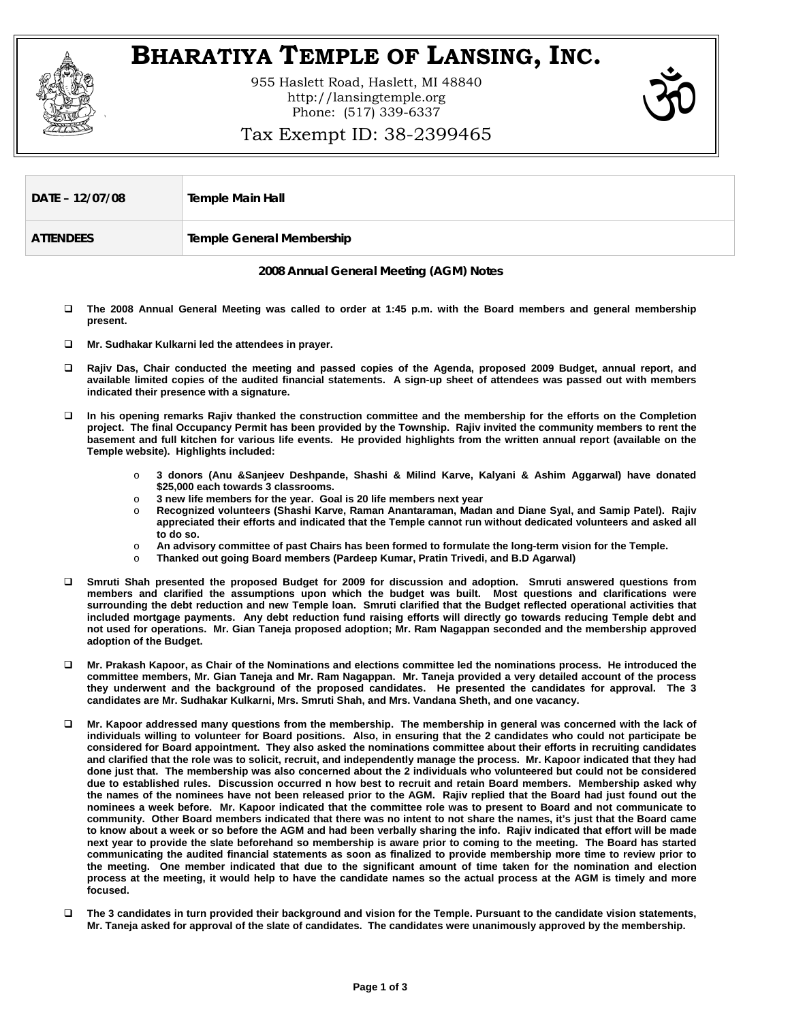

## **BHARATIYA TEMPLE OF LANSING, INC.**

955 Haslett Road, Haslett, MI 48840 http://lansingtemple.org Phone: (517) 339-6337



## Tax Exempt ID: 38-2399465

| DATE - 12/07/08  | Temple Main Hall                 |
|------------------|----------------------------------|
| <b>ATTENDEES</b> | <b>Temple General Membership</b> |

**2008 Annual General Meeting (AGM) Notes** 

- **The 2008 Annual General Meeting was called to order at 1:45 p.m. with the Board members and general membership present.**
- **Mr. Sudhakar Kulkarni led the attendees in prayer.**
- **Rajiv Das, Chair conducted the meeting and passed copies of the Agenda, proposed 2009 Budget, annual report, and available limited copies of the audited financial statements. A sign-up sheet of attendees was passed out with members indicated their presence with a signature.**
- **In his opening remarks Rajiv thanked the construction committee and the membership for the efforts on the Completion project. The final Occupancy Permit has been provided by the Township. Rajiv invited the community members to rent the basement and full kitchen for various life events. He provided highlights from the written annual report (available on the Temple website). Highlights included:** 
	- o **3 donors (Anu &Sanjeev Deshpande, Shashi & Milind Karve, Kalyani & Ashim Aggarwal) have donated \$25,000 each towards 3 classrooms.**
	- o **3 new life members for the year. Goal is 20 life members next year**
	- o **Recognized volunteers (Shashi Karve, Raman Anantaraman, Madan and Diane Syal, and Samip Patel). Rajiv appreciated their efforts and indicated that the Temple cannot run without dedicated volunteers and asked all to do so.**
	- o **An advisory committee of past Chairs has been formed to formulate the long-term vision for the Temple.**
	- o **Thanked out going Board members (Pardeep Kumar, Pratin Trivedi, and B.D Agarwal)**
- **Smruti Shah presented the proposed Budget for 2009 for discussion and adoption. Smruti answered questions from members and clarified the assumptions upon which the budget was built. Most questions and clarifications were surrounding the debt reduction and new Temple loan. Smruti clarified that the Budget reflected operational activities that included mortgage payments. Any debt reduction fund raising efforts will directly go towards reducing Temple debt and not used for operations. Mr. Gian Taneja proposed adoption; Mr. Ram Nagappan seconded and the membership approved adoption of the Budget.**
- **Mr. Prakash Kapoor, as Chair of the Nominations and elections committee led the nominations process. He introduced the committee members, Mr. Gian Taneja and Mr. Ram Nagappan. Mr. Taneja provided a very detailed account of the process they underwent and the background of the proposed candidates. He presented the candidates for approval. The 3 candidates are Mr. Sudhakar Kulkarni, Mrs. Smruti Shah, and Mrs. Vandana Sheth, and one vacancy.**
- **Mr. Kapoor addressed many questions from the membership. The membership in general was concerned with the lack of individuals willing to volunteer for Board positions. Also, in ensuring that the 2 candidates who could not participate be considered for Board appointment. They also asked the nominations committee about their efforts in recruiting candidates and clarified that the role was to solicit, recruit, and independently manage the process. Mr. Kapoor indicated that they had done just that. The membership was also concerned about the 2 individuals who volunteered but could not be considered due to established rules. Discussion occurred n how best to recruit and retain Board members. Membership asked why the names of the nominees have not been released prior to the AGM. Rajiv replied that the Board had just found out the nominees a week before. Mr. Kapoor indicated that the committee role was to present to Board and not communicate to community. Other Board members indicated that there was no intent to not share the names, it's just that the Board came to know about a week or so before the AGM and had been verbally sharing the info. Rajiv indicated that effort will be made next year to provide the slate beforehand so membership is aware prior to coming to the meeting. The Board has started communicating the audited financial statements as soon as finalized to provide membership more time to review prior to the meeting. One member indicated that due to the significant amount of time taken for the nomination and election process at the meeting, it would help to have the candidate names so the actual process at the AGM is timely and more focused.**
- **The 3 candidates in turn provided their background and vision for the Temple. Pursuant to the candidate vision statements, Mr. Taneja asked for approval of the slate of candidates. The candidates were unanimously approved by the membership.**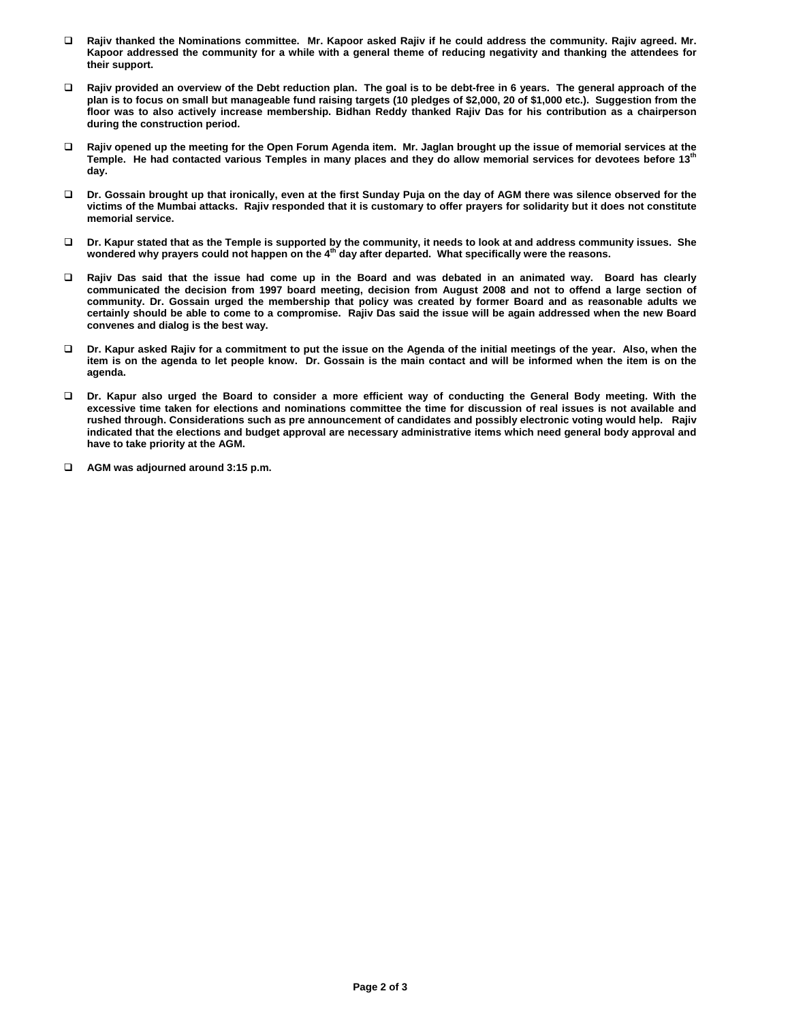- **Rajiv thanked the Nominations committee. Mr. Kapoor asked Rajiv if he could address the community. Rajiv agreed. Mr. Kapoor addressed the community for a while with a general theme of reducing negativity and thanking the attendees for their support.**
- **Rajiv provided an overview of the Debt reduction plan. The goal is to be debt-free in 6 years. The general approach of the plan is to focus on small but manageable fund raising targets (10 pledges of \$2,000, 20 of \$1,000 etc.). Suggestion from the floor was to also actively increase membership. Bidhan Reddy thanked Rajiv Das for his contribution as a chairperson during the construction period.**
- **Rajiv opened up the meeting for the Open Forum Agenda item. Mr. Jaglan brought up the issue of memorial services at the Temple. He had contacted various Temples in many places and they do allow memorial services for devotees before 13th day.**
- **Dr. Gossain brought up that ironically, even at the first Sunday Puja on the day of AGM there was silence observed for the victims of the Mumbai attacks. Rajiv responded that it is customary to offer prayers for solidarity but it does not constitute memorial service.**
- **Dr. Kapur stated that as the Temple is supported by the community, it needs to look at and address community issues. She wondered why prayers could not happen on the 4th day after departed. What specifically were the reasons.**
- **Rajiv Das said that the issue had come up in the Board and was debated in an animated way. Board has clearly communicated the decision from 1997 board meeting, decision from August 2008 and not to offend a large section of community. Dr. Gossain urged the membership that policy was created by former Board and as reasonable adults we certainly should be able to come to a compromise. Rajiv Das said the issue will be again addressed when the new Board convenes and dialog is the best way.**
- **Dr. Kapur asked Rajiv for a commitment to put the issue on the Agenda of the initial meetings of the year. Also, when the item is on the agenda to let people know. Dr. Gossain is the main contact and will be informed when the item is on the agenda.**
- **Dr. Kapur also urged the Board to consider a more efficient way of conducting the General Body meeting. With the excessive time taken for elections and nominations committee the time for discussion of real issues is not available and rushed through. Considerations such as pre announcement of candidates and possibly electronic voting would help. Rajiv indicated that the elections and budget approval are necessary administrative items which need general body approval and have to take priority at the AGM.**
- **AGM was adjourned around 3:15 p.m.**